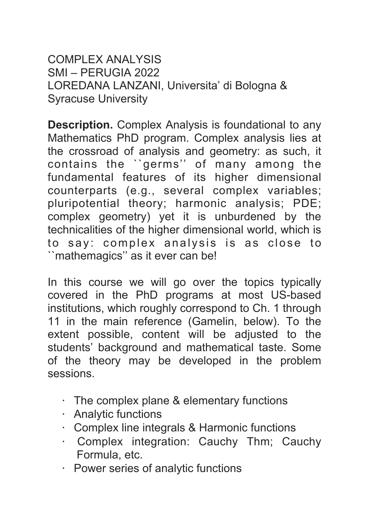COMPLEX ANALYSIS SMI – PERUGIA 2022 LOREDANA LANZANI, Universita' di Bologna & Syracuse University

**Description.** Complex Analysis is foundational to any Mathematics PhD program. Complex analysis lies at the crossroad of analysis and geometry: as such, it contains the ``germs'' of many among the fundamental features of its higher dimensional counterparts (e.g., several complex variables; pluripotential theory; harmonic analysis; PDE; complex geometry) yet it is unburdened by the technicalities of the higher dimensional world, which is to say: complex analysis is as close to ``mathemagics'' as it ever can be!

In this course we will go over the topics typically covered in the PhD programs at most US-based institutions, which roughly correspond to Ch. 1 through 11 in the main reference (Gamelin, below). To the extent possible, content will be adjusted to the students' background and mathematical taste. Some of the theory may be developed in the problem sessions.

- · The complex plane & elementary functions
- · Analytic functions
- · Complex line integrals & Harmonic functions
- · Complex integration: Cauchy Thm; Cauchy Formula, etc.
- · Power series of analytic functions